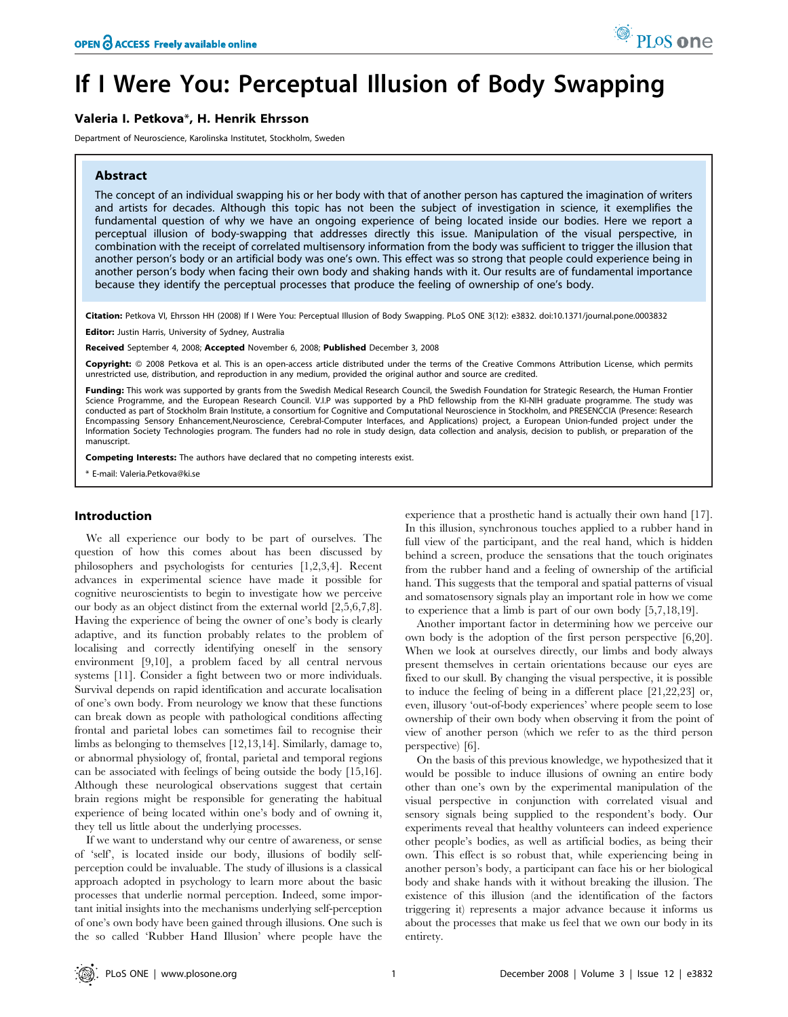# If I Were You: Perceptual Illusion of Body Swapping

## Valeria I. Petkova\*, H. Henrik Ehrsson

Department of Neuroscience, Karolinska Institutet, Stockholm, Sweden

## Abstract

The concept of an individual swapping his or her body with that of another person has captured the imagination of writers and artists for decades. Although this topic has not been the subject of investigation in science, it exemplifies the fundamental question of why we have an ongoing experience of being located inside our bodies. Here we report a perceptual illusion of body-swapping that addresses directly this issue. Manipulation of the visual perspective, in combination with the receipt of correlated multisensory information from the body was sufficient to trigger the illusion that another person's body or an artificial body was one's own. This effect was so strong that people could experience being in another person's body when facing their own body and shaking hands with it. Our results are of fundamental importance because they identify the perceptual processes that produce the feeling of ownership of one's body.

Citation: Petkova VI, Ehrsson HH (2008) If I Were You: Perceptual Illusion of Body Swapping. PLoS ONE 3(12): e3832. doi:10.1371/journal.pone.0003832

Editor: Justin Harris, University of Sydney, Australia

Received September 4, 2008; Accepted November 6, 2008; Published December 3, 2008

Copyright: @ 2008 Petkova et al. This is an open-access article distributed under the terms of the Creative Commons Attribution License, which permits unrestricted use, distribution, and reproduction in any medium, provided the original author and source are credited.

Funding: This work was supported by grants from the Swedish Medical Research Council, the Swedish Foundation for Strategic Research, the Human Frontier Science Programme, and the European Research Council. V.I.P was supported by a PhD fellowship from the KI-NIH graduate programme. The study was conducted as part of Stockholm Brain Institute, a consortium for Cognitive and Computational Neuroscience in Stockholm, and PRESENCCIA (Presence: Research Encompassing Sensory Enhancement,Neuroscience, Cerebral-Computer Interfaces, and Applications) project, a European Union-funded project under the Information Society Technologies program. The funders had no role in study design, data collection and analysis, decision to publish, or preparation of the manuscript.

Competing Interests: The authors have declared that no competing interests exist.

\* E-mail: Valeria.Petkova@ki.se

## Introduction

We all experience our body to be part of ourselves. The question of how this comes about has been discussed by philosophers and psychologists for centuries [1,2,3,4]. Recent advances in experimental science have made it possible for cognitive neuroscientists to begin to investigate how we perceive our body as an object distinct from the external world [2,5,6,7,8]. Having the experience of being the owner of one's body is clearly adaptive, and its function probably relates to the problem of localising and correctly identifying oneself in the sensory environment [9,10], a problem faced by all central nervous systems [11]. Consider a fight between two or more individuals. Survival depends on rapid identification and accurate localisation of one's own body. From neurology we know that these functions can break down as people with pathological conditions affecting frontal and parietal lobes can sometimes fail to recognise their limbs as belonging to themselves [12,13,14]. Similarly, damage to, or abnormal physiology of, frontal, parietal and temporal regions can be associated with feelings of being outside the body [15,16]. Although these neurological observations suggest that certain brain regions might be responsible for generating the habitual experience of being located within one's body and of owning it, they tell us little about the underlying processes.

If we want to understand why our centre of awareness, or sense of 'self', is located inside our body, illusions of bodily selfperception could be invaluable. The study of illusions is a classical approach adopted in psychology to learn more about the basic processes that underlie normal perception. Indeed, some important initial insights into the mechanisms underlying self-perception of one's own body have been gained through illusions. One such is the so called 'Rubber Hand Illusion' where people have the experience that a prosthetic hand is actually their own hand [17]. In this illusion, synchronous touches applied to a rubber hand in full view of the participant, and the real hand, which is hidden behind a screen, produce the sensations that the touch originates from the rubber hand and a feeling of ownership of the artificial hand. This suggests that the temporal and spatial patterns of visual and somatosensory signals play an important role in how we come to experience that a limb is part of our own body [5,7,18,19].

Another important factor in determining how we perceive our own body is the adoption of the first person perspective [6,20]. When we look at ourselves directly, our limbs and body always present themselves in certain orientations because our eyes are fixed to our skull. By changing the visual perspective, it is possible to induce the feeling of being in a different place [21,22,23] or, even, illusory 'out-of-body experiences' where people seem to lose ownership of their own body when observing it from the point of view of another person (which we refer to as the third person perspective) [6].

On the basis of this previous knowledge, we hypothesized that it would be possible to induce illusions of owning an entire body other than one's own by the experimental manipulation of the visual perspective in conjunction with correlated visual and sensory signals being supplied to the respondent's body. Our experiments reveal that healthy volunteers can indeed experience other people's bodies, as well as artificial bodies, as being their own. This effect is so robust that, while experiencing being in another person's body, a participant can face his or her biological body and shake hands with it without breaking the illusion. The existence of this illusion (and the identification of the factors triggering it) represents a major advance because it informs us about the processes that make us feel that we own our body in its entirety.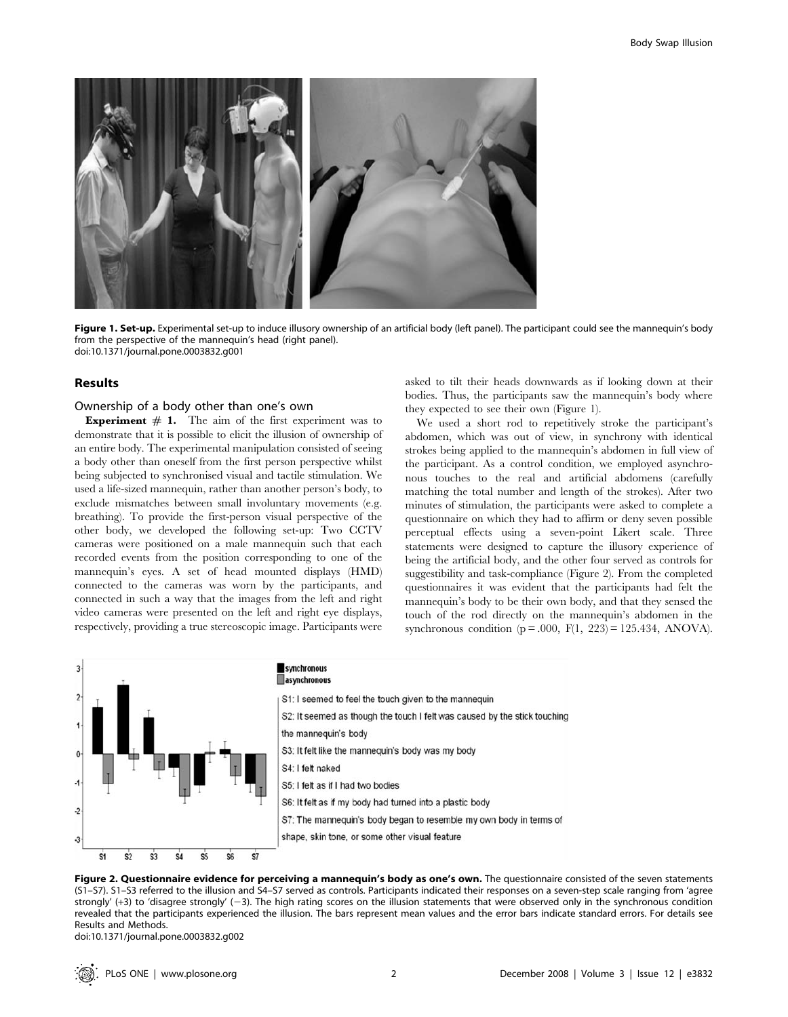

Figure 1. Set-up. Experimental set-up to induce illusory ownership of an artificial body (left panel). The participant could see the mannequin's body from the perspective of the mannequin's head (right panel). doi:10.1371/journal.pone.0003832.g001

#### Results

## Ownership of a body other than one's own

**Experiment**  $# 1$ . The aim of the first experiment was to demonstrate that it is possible to elicit the illusion of ownership of an entire body. The experimental manipulation consisted of seeing a body other than oneself from the first person perspective whilst being subjected to synchronised visual and tactile stimulation. We used a life-sized mannequin, rather than another person's body, to exclude mismatches between small involuntary movements (e.g. breathing). To provide the first-person visual perspective of the other body, we developed the following set-up: Two CCTV cameras were positioned on a male mannequin such that each recorded events from the position corresponding to one of the mannequin's eyes. A set of head mounted displays (HMD) connected to the cameras was worn by the participants, and connected in such a way that the images from the left and right video cameras were presented on the left and right eye displays, respectively, providing a true stereoscopic image. Participants were

asked to tilt their heads downwards as if looking down at their bodies. Thus, the participants saw the mannequin's body where they expected to see their own (Figure 1).

We used a short rod to repetitively stroke the participant's abdomen, which was out of view, in synchrony with identical strokes being applied to the mannequin's abdomen in full view of the participant. As a control condition, we employed asynchronous touches to the real and artificial abdomens (carefully matching the total number and length of the strokes). After two minutes of stimulation, the participants were asked to complete a questionnaire on which they had to affirm or deny seven possible perceptual effects using a seven-point Likert scale. Three statements were designed to capture the illusory experience of being the artificial body, and the other four served as controls for suggestibility and task-compliance (Figure 2). From the completed questionnaires it was evident that the participants had felt the mannequin's body to be their own body, and that they sensed the touch of the rod directly on the mannequin's abdomen in the synchronous condition ( $p = .000$ ,  $F(1, 223) = 125.434$ , ANOVA).



#### synchronous asynchronous

S1: I seemed to feel the touch given to the mannequin S2: It seemed as though the touch I felt was caused by the stick touching the mannequin's body S3: It felt like the mannequin's body was my body S4: I felt naked S5: I felt as if I had two bodies S6: It felt as if my body had turned into a plastic body S7: The mannequin's body began to resemble my own body in terms of shape, skin tone, or some other visual feature



doi:10.1371/journal.pone.0003832.g002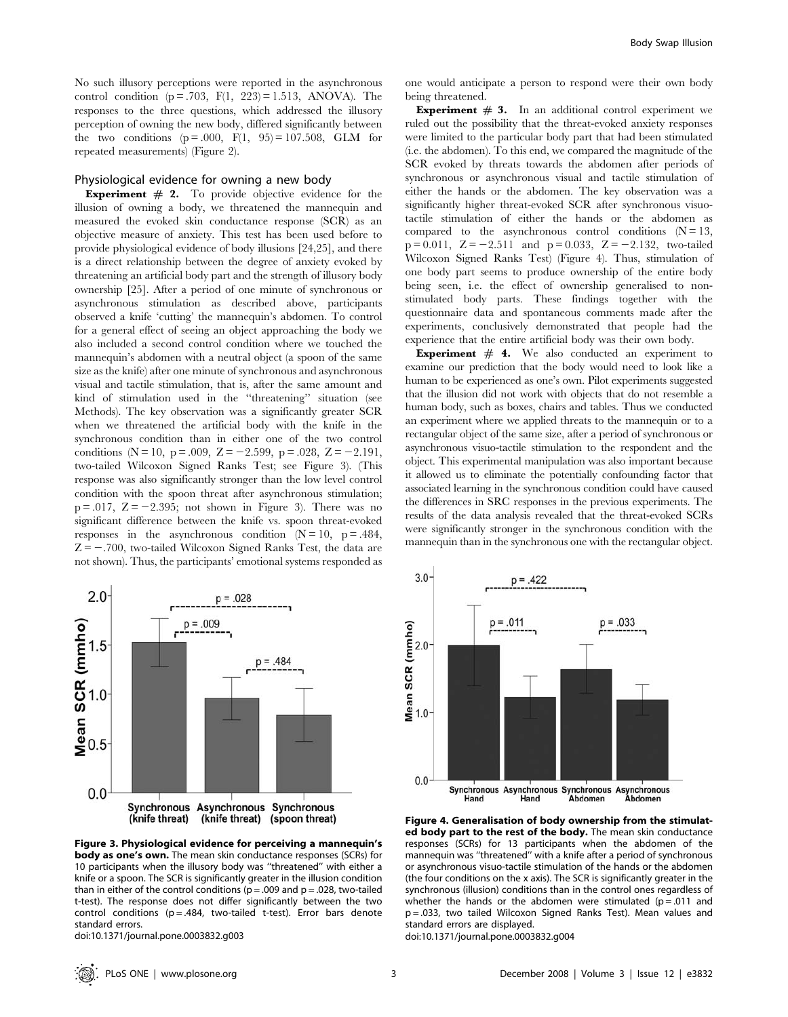No such illusory perceptions were reported in the asynchronous control condition ( $p = .703$ ,  $F(1, 223) = 1.513$ , ANOVA). The responses to the three questions, which addressed the illusory perception of owning the new body, differed significantly between the two conditions  $(p = .000, F(1, 95) = 107.508, GLM$  for repeated measurements) (Figure 2).

## Physiological evidence for owning a new body

**Experiment**  $#$  2. To provide objective evidence for the illusion of owning a body, we threatened the mannequin and measured the evoked skin conductance response (SCR) as an objective measure of anxiety. This test has been used before to provide physiological evidence of body illusions [24,25], and there is a direct relationship between the degree of anxiety evoked by threatening an artificial body part and the strength of illusory body ownership [25]. After a period of one minute of synchronous or asynchronous stimulation as described above, participants observed a knife 'cutting' the mannequin's abdomen. To control for a general effect of seeing an object approaching the body we also included a second control condition where we touched the mannequin's abdomen with a neutral object (a spoon of the same size as the knife) after one minute of synchronous and asynchronous visual and tactile stimulation, that is, after the same amount and kind of stimulation used in the ''threatening'' situation (see Methods). The key observation was a significantly greater SCR when we threatened the artificial body with the knife in the synchronous condition than in either one of the two control conditions (N = 10, p = .009, Z = -2.599, p = .028, Z = -2.191, two-tailed Wilcoxon Signed Ranks Test; see Figure 3). (This response was also significantly stronger than the low level control condition with the spoon threat after asynchronous stimulation;  $p = 0.017$ ,  $Z = -2.395$ ; not shown in Figure 3). There was no significant difference between the knife vs. spoon threat-evoked responses in the asynchronous condition  $(N = 10, p = .484,$  $Z = -0.700$ , two-tailed Wilcoxon Signed Ranks Test, the data are not shown). Thus, the participants' emotional systems responded as



Figure 3. Physiological evidence for perceiving a mannequin's body as one's own. The mean skin conductance responses (SCRs) for 10 participants when the illusory body was ''threatened'' with either a knife or a spoon. The SCR is significantly greater in the illusion condition than in either of the control conditions ( $p = .009$  and  $p = .028$ , two-tailed t-test). The response does not differ significantly between the two control conditions ( $p = .484$ , two-tailed t-test). Error bars denote standard errors.

doi:10.1371/journal.pone.0003832.g003

one would anticipate a person to respond were their own body being threatened.

**Experiment**  $# 3$ . In an additional control experiment we ruled out the possibility that the threat-evoked anxiety responses were limited to the particular body part that had been stimulated (i.e. the abdomen). To this end, we compared the magnitude of the SCR evoked by threats towards the abdomen after periods of synchronous or asynchronous visual and tactile stimulation of either the hands or the abdomen. The key observation was a significantly higher threat-evoked SCR after synchronous visuotactile stimulation of either the hands or the abdomen as compared to the asynchronous control conditions  $(N = 13,$  $p = 0.011$ ,  $Z = -2.511$  and  $p = 0.033$ ,  $Z = -2.132$ , two-tailed Wilcoxon Signed Ranks Test) (Figure 4). Thus, stimulation of one body part seems to produce ownership of the entire body being seen, i.e. the effect of ownership generalised to nonstimulated body parts. These findings together with the questionnaire data and spontaneous comments made after the experiments, conclusively demonstrated that people had the experience that the entire artificial body was their own body.

**Experiment**  $# 4$ . We also conducted an experiment to examine our prediction that the body would need to look like a human to be experienced as one's own. Pilot experiments suggested that the illusion did not work with objects that do not resemble a human body, such as boxes, chairs and tables. Thus we conducted an experiment where we applied threats to the mannequin or to a rectangular object of the same size, after a period of synchronous or asynchronous visuo-tactile stimulation to the respondent and the object. This experimental manipulation was also important because it allowed us to eliminate the potentially confounding factor that associated learning in the synchronous condition could have caused the differences in SRC responses in the previous experiments. The results of the data analysis revealed that the threat-evoked SCRs were significantly stronger in the synchronous condition with the mannequin than in the synchronous one with the rectangular object.



Figure 4. Generalisation of body ownership from the stimulated body part to the rest of the body. The mean skin conductance responses (SCRs) for 13 participants when the abdomen of the mannequin was ''threatened'' with a knife after a period of synchronous or asynchronous visuo-tactile stimulation of the hands or the abdomen (the four conditions on the x axis). The SCR is significantly greater in the synchronous (illusion) conditions than in the control ones regardless of whether the hands or the abdomen were stimulated ( $p = .011$  and p = .033, two tailed Wilcoxon Signed Ranks Test). Mean values and standard errors are displayed.

doi:10.1371/journal.pone.0003832.g004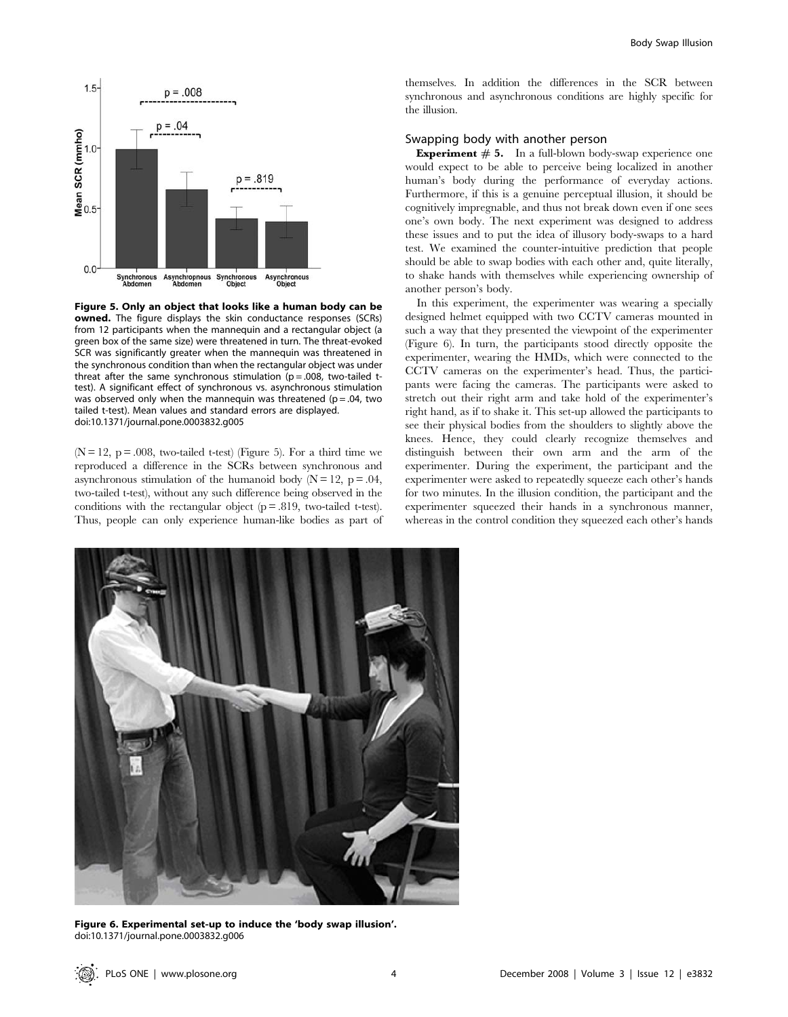

Figure 5. Only an object that looks like a human body can be **owned.** The figure displays the skin conductance responses (SCRs) from 12 participants when the mannequin and a rectangular object (a green box of the same size) were threatened in turn. The threat-evoked SCR was significantly greater when the mannequin was threatened in the synchronous condition than when the rectangular object was under threat after the same synchronous stimulation ( $p = .008$ , two-tailed ttest). A significant effect of synchronous vs. asynchronous stimulation was observed only when the mannequin was threatened ( $p = .04$ , two tailed t-test). Mean values and standard errors are displayed. doi:10.1371/journal.pone.0003832.g005

 $(N = 12, p = .008,$  two-tailed t-test) (Figure 5). For a third time we reproduced a difference in the SCRs between synchronous and asynchronous stimulation of the humanoid body  $(N = 12, p = .04,$ two-tailed t-test), without any such difference being observed in the conditions with the rectangular object  $(p = .819,$  two-tailed t-test). Thus, people can only experience human-like bodies as part of themselves. In addition the differences in the SCR between synchronous and asynchronous conditions are highly specific for the illusion.

## Swapping body with another person

**Experiment**  $# 5$ . In a full-blown body-swap experience one would expect to be able to perceive being localized in another human's body during the performance of everyday actions. Furthermore, if this is a genuine perceptual illusion, it should be cognitively impregnable, and thus not break down even if one sees one's own body. The next experiment was designed to address these issues and to put the idea of illusory body-swaps to a hard test. We examined the counter-intuitive prediction that people should be able to swap bodies with each other and, quite literally, to shake hands with themselves while experiencing ownership of another person's body.

In this experiment, the experimenter was wearing a specially designed helmet equipped with two CCTV cameras mounted in such a way that they presented the viewpoint of the experimenter (Figure 6). In turn, the participants stood directly opposite the experimenter, wearing the HMDs, which were connected to the CCTV cameras on the experimenter's head. Thus, the participants were facing the cameras. The participants were asked to stretch out their right arm and take hold of the experimenter's right hand, as if to shake it. This set-up allowed the participants to see their physical bodies from the shoulders to slightly above the knees. Hence, they could clearly recognize themselves and distinguish between their own arm and the arm of the experimenter. During the experiment, the participant and the experimenter were asked to repeatedly squeeze each other's hands for two minutes. In the illusion condition, the participant and the experimenter squeezed their hands in a synchronous manner, whereas in the control condition they squeezed each other's hands



Figure 6. Experimental set-up to induce the 'body swap illusion'. doi:10.1371/journal.pone.0003832.g006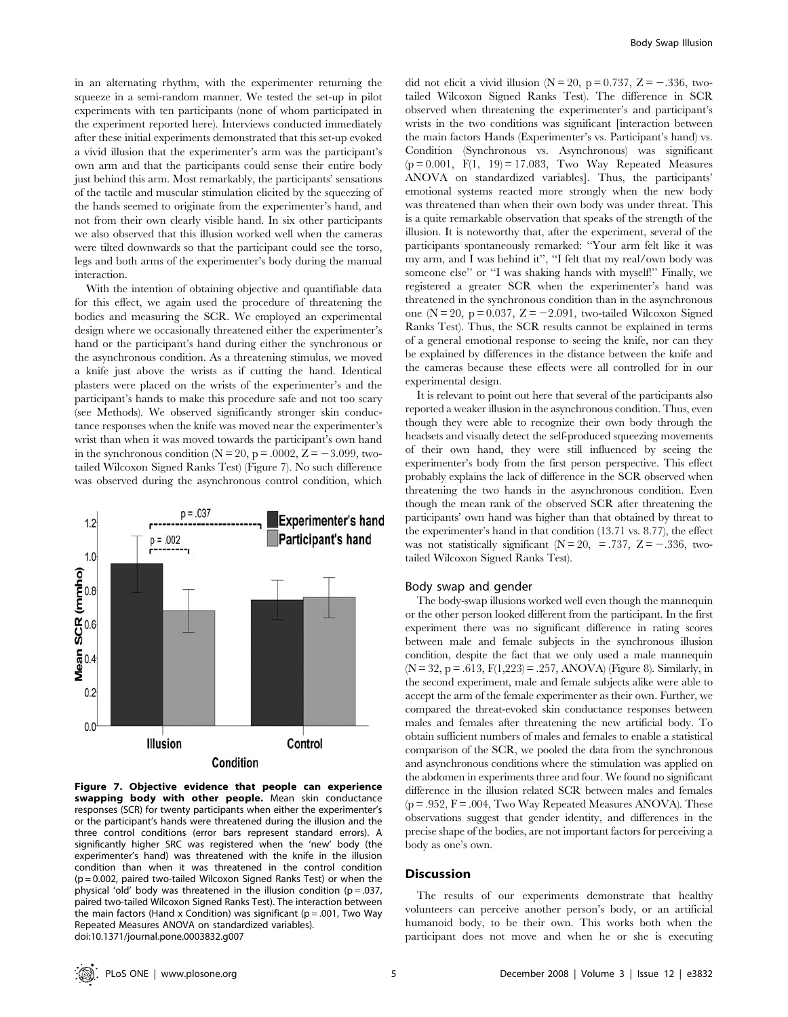in an alternating rhythm, with the experimenter returning the squeeze in a semi-random manner. We tested the set-up in pilot experiments with ten participants (none of whom participated in the experiment reported here). Interviews conducted immediately after these initial experiments demonstrated that this set-up evoked a vivid illusion that the experimenter's arm was the participant's own arm and that the participants could sense their entire body just behind this arm. Most remarkably, the participants' sensations of the tactile and muscular stimulation elicited by the squeezing of the hands seemed to originate from the experimenter's hand, and not from their own clearly visible hand. In six other participants we also observed that this illusion worked well when the cameras were tilted downwards so that the participant could see the torso, legs and both arms of the experimenter's body during the manual interaction.

With the intention of obtaining objective and quantifiable data for this effect, we again used the procedure of threatening the bodies and measuring the SCR. We employed an experimental design where we occasionally threatened either the experimenter's hand or the participant's hand during either the synchronous or the asynchronous condition. As a threatening stimulus, we moved a knife just above the wrists as if cutting the hand. Identical plasters were placed on the wrists of the experimenter's and the participant's hands to make this procedure safe and not too scary (see Methods). We observed significantly stronger skin conductance responses when the knife was moved near the experimenter's wrist than when it was moved towards the participant's own hand in the synchronous condition ( $N = 20$ ,  $p = .0002$ ,  $Z = -3.099$ , twotailed Wilcoxon Signed Ranks Test) (Figure 7). No such difference was observed during the asynchronous control condition, which



Figure 7. Objective evidence that people can experience swapping body with other people. Mean skin conductance responses (SCR) for twenty participants when either the experimenter's or the participant's hands were threatened during the illusion and the three control conditions (error bars represent standard errors). A significantly higher SRC was registered when the 'new' body (the experimenter's hand) was threatened with the knife in the illusion condition than when it was threatened in the control condition (p = 0.002, paired two-tailed Wilcoxon Signed Ranks Test) or when the physical 'old' body was threatened in the illusion condition ( $p = .037$ , paired two-tailed Wilcoxon Signed Ranks Test). The interaction between the main factors (Hand x Condition) was significant ( $p = .001$ , Two Way Repeated Measures ANOVA on standardized variables). doi:10.1371/journal.pone.0003832.g007

did not elicit a vivid illusion ( $N = 20$ ,  $p = 0.737$ ,  $Z = -.336$ , twotailed Wilcoxon Signed Ranks Test). The difference in SCR observed when threatening the experimenter's and participant's wrists in the two conditions was significant [interaction between the main factors Hands (Experimenter's vs. Participant's hand) vs. Condition (Synchronous vs. Asynchronous) was significant  $(p = 0.001, F(1, 19) = 17.083, Two Way Repeated Measures$ ANOVA on standardized variables]. Thus, the participants' emotional systems reacted more strongly when the new body was threatened than when their own body was under threat. This is a quite remarkable observation that speaks of the strength of the illusion. It is noteworthy that, after the experiment, several of the participants spontaneously remarked: ''Your arm felt like it was my arm, and I was behind it'', ''I felt that my real/own body was someone else'' or ''I was shaking hands with myself!'' Finally, we registered a greater SCR when the experimenter's hand was threatened in the synchronous condition than in the asynchronous one ( $N = 20$ ,  $p = 0.037$ ,  $Z = -2.091$ , two-tailed Wilcoxon Signed Ranks Test). Thus, the SCR results cannot be explained in terms of a general emotional response to seeing the knife, nor can they be explained by differences in the distance between the knife and the cameras because these effects were all controlled for in our experimental design.

It is relevant to point out here that several of the participants also reported a weaker illusion in the asynchronous condition. Thus, even though they were able to recognize their own body through the headsets and visually detect the self-produced squeezing movements of their own hand, they were still influenced by seeing the experimenter's body from the first person perspective. This effect probably explains the lack of difference in the SCR observed when threatening the two hands in the asynchronous condition. Even though the mean rank of the observed SCR after threatening the participants' own hand was higher than that obtained by threat to the experimenter's hand in that condition (13.71 vs. 8.77), the effect was not statistically significant ( $N = 20$ , = .737,  $Z = -.336$ , twotailed Wilcoxon Signed Ranks Test).

## Body swap and gender

The body-swap illusions worked well even though the mannequin or the other person looked different from the participant. In the first experiment there was no significant difference in rating scores between male and female subjects in the synchronous illusion condition, despite the fact that we only used a male mannequin  $(N = 32, p = .613, F(1,223) = .257, ANOVA)$  (Figure 8). Similarly, in the second experiment, male and female subjects alike were able to accept the arm of the female experimenter as their own. Further, we compared the threat-evoked skin conductance responses between males and females after threatening the new artificial body. To obtain sufficient numbers of males and females to enable a statistical comparison of the SCR, we pooled the data from the synchronous and asynchronous conditions where the stimulation was applied on the abdomen in experiments three and four. We found no significant difference in the illusion related SCR between males and females  $(p = .952, F = .004, Two Way Repeated Measures ANOVA). These$ observations suggest that gender identity, and differences in the precise shape of the bodies, are not important factors for perceiving a body as one's own.

#### **Discussion**

The results of our experiments demonstrate that healthy volunteers can perceive another person's body, or an artificial humanoid body, to be their own. This works both when the participant does not move and when he or she is executing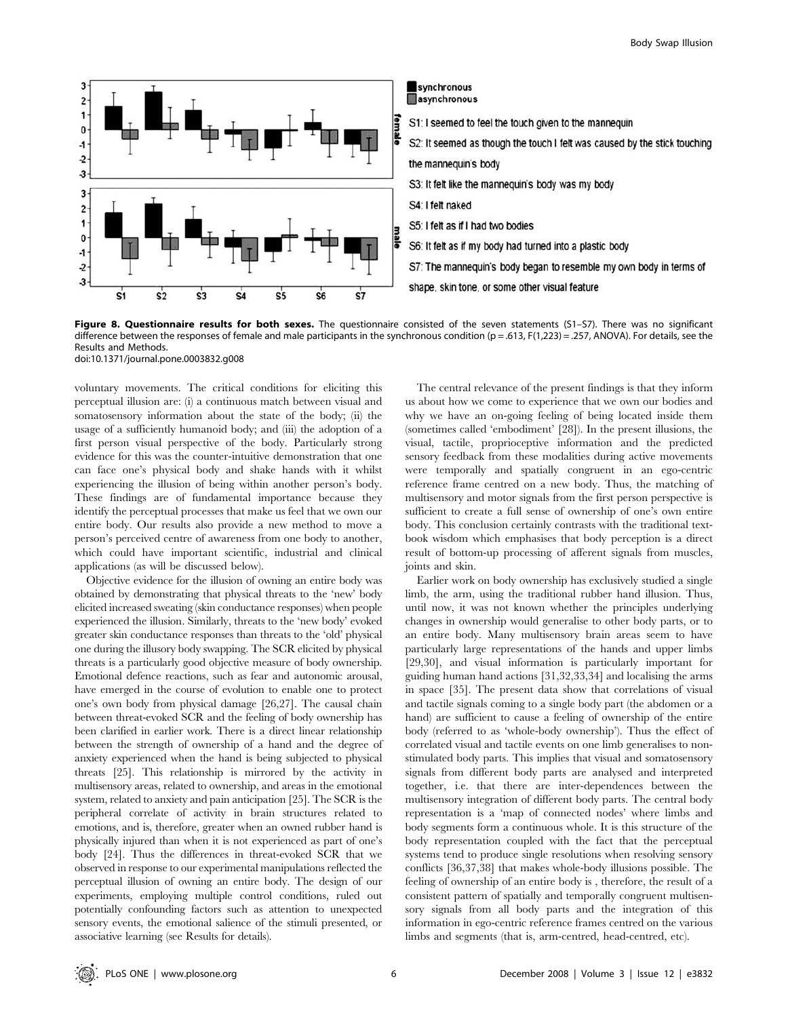

Figure 8. Questionnaire results for both sexes. The questionnaire consisted of the seven statements (S1-S7). There was no significant difference between the responses of female and male participants in the synchronous condition (p = .613, F(1,223) = .257, ANOVA). For details, see the Results and Methods.

doi:10.1371/journal.pone.0003832.g008

voluntary movements. The critical conditions for eliciting this perceptual illusion are: (i) a continuous match between visual and somatosensory information about the state of the body; (ii) the usage of a sufficiently humanoid body; and (iii) the adoption of a first person visual perspective of the body. Particularly strong evidence for this was the counter-intuitive demonstration that one can face one's physical body and shake hands with it whilst experiencing the illusion of being within another person's body. These findings are of fundamental importance because they identify the perceptual processes that make us feel that we own our entire body. Our results also provide a new method to move a person's perceived centre of awareness from one body to another, which could have important scientific, industrial and clinical applications (as will be discussed below).

Objective evidence for the illusion of owning an entire body was obtained by demonstrating that physical threats to the 'new' body elicited increased sweating (skin conductance responses) when people experienced the illusion. Similarly, threats to the 'new body' evoked greater skin conductance responses than threats to the 'old' physical one during the illusory body swapping. The SCR elicited by physical threats is a particularly good objective measure of body ownership. Emotional defence reactions, such as fear and autonomic arousal, have emerged in the course of evolution to enable one to protect one's own body from physical damage [26,27]. The causal chain between threat-evoked SCR and the feeling of body ownership has been clarified in earlier work. There is a direct linear relationship between the strength of ownership of a hand and the degree of anxiety experienced when the hand is being subjected to physical threats [25]. This relationship is mirrored by the activity in multisensory areas, related to ownership, and areas in the emotional system, related to anxiety and pain anticipation [25]. The SCR is the peripheral correlate of activity in brain structures related to emotions, and is, therefore, greater when an owned rubber hand is physically injured than when it is not experienced as part of one's body [24]. Thus the differences in threat-evoked SCR that we observed in response to our experimental manipulations reflected the perceptual illusion of owning an entire body. The design of our experiments, employing multiple control conditions, ruled out potentially confounding factors such as attention to unexpected sensory events, the emotional salience of the stimuli presented, or associative learning (see Results for details).

The central relevance of the present findings is that they inform us about how we come to experience that we own our bodies and why we have an on-going feeling of being located inside them (sometimes called 'embodiment' [28]). In the present illusions, the visual, tactile, proprioceptive information and the predicted sensory feedback from these modalities during active movements were temporally and spatially congruent in an ego-centric reference frame centred on a new body. Thus, the matching of multisensory and motor signals from the first person perspective is sufficient to create a full sense of ownership of one's own entire body. This conclusion certainly contrasts with the traditional textbook wisdom which emphasises that body perception is a direct result of bottom-up processing of afferent signals from muscles, joints and skin.

Earlier work on body ownership has exclusively studied a single limb, the arm, using the traditional rubber hand illusion. Thus, until now, it was not known whether the principles underlying changes in ownership would generalise to other body parts, or to an entire body. Many multisensory brain areas seem to have particularly large representations of the hands and upper limbs [29,30], and visual information is particularly important for guiding human hand actions [31,32,33,34] and localising the arms in space [35]. The present data show that correlations of visual and tactile signals coming to a single body part (the abdomen or a hand) are sufficient to cause a feeling of ownership of the entire body (referred to as 'whole-body ownership'). Thus the effect of correlated visual and tactile events on one limb generalises to nonstimulated body parts. This implies that visual and somatosensory signals from different body parts are analysed and interpreted together, i.e. that there are inter-dependences between the multisensory integration of different body parts. The central body representation is a 'map of connected nodes' where limbs and body segments form a continuous whole. It is this structure of the body representation coupled with the fact that the perceptual systems tend to produce single resolutions when resolving sensory conflicts [36,37,38] that makes whole-body illusions possible. The feeling of ownership of an entire body is , therefore, the result of a consistent pattern of spatially and temporally congruent multisensory signals from all body parts and the integration of this information in ego-centric reference frames centred on the various limbs and segments (that is, arm-centred, head-centred, etc).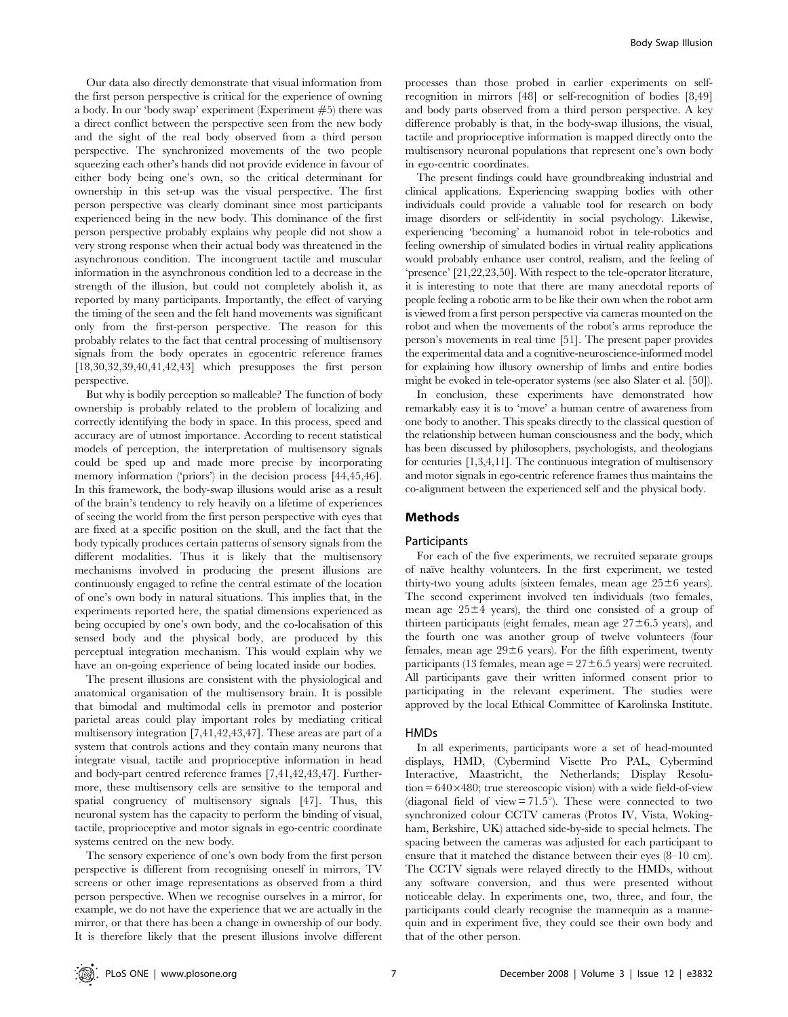Our data also directly demonstrate that visual information from the first person perspective is critical for the experience of owning a body. In our 'body swap' experiment (Experiment #5) there was a direct conflict between the perspective seen from the new body and the sight of the real body observed from a third person perspective. The synchronized movements of the two people squeezing each other's hands did not provide evidence in favour of either body being one's own, so the critical determinant for ownership in this set-up was the visual perspective. The first person perspective was clearly dominant since most participants experienced being in the new body. This dominance of the first person perspective probably explains why people did not show a very strong response when their actual body was threatened in the asynchronous condition. The incongruent tactile and muscular information in the asynchronous condition led to a decrease in the strength of the illusion, but could not completely abolish it, as reported by many participants. Importantly, the effect of varying the timing of the seen and the felt hand movements was significant only from the first-person perspective. The reason for this probably relates to the fact that central processing of multisensory signals from the body operates in egocentric reference frames [18,30,32,39,40,41,42,43] which presupposes the first person perspective.

But why is bodily perception so malleable? The function of body ownership is probably related to the problem of localizing and correctly identifying the body in space. In this process, speed and accuracy are of utmost importance. According to recent statistical models of perception, the interpretation of multisensory signals could be sped up and made more precise by incorporating memory information ('priors') in the decision process [44,45,46]. In this framework, the body-swap illusions would arise as a result of the brain's tendency to rely heavily on a lifetime of experiences of seeing the world from the first person perspective with eyes that are fixed at a specific position on the skull, and the fact that the body typically produces certain patterns of sensory signals from the different modalities. Thus it is likely that the multisensory mechanisms involved in producing the present illusions are continuously engaged to refine the central estimate of the location of one's own body in natural situations. This implies that, in the experiments reported here, the spatial dimensions experienced as being occupied by one's own body, and the co-localisation of this sensed body and the physical body, are produced by this perceptual integration mechanism. This would explain why we have an on-going experience of being located inside our bodies.

The present illusions are consistent with the physiological and anatomical organisation of the multisensory brain. It is possible that bimodal and multimodal cells in premotor and posterior parietal areas could play important roles by mediating critical multisensory integration [7,41,42,43,47]. These areas are part of a system that controls actions and they contain many neurons that integrate visual, tactile and proprioceptive information in head and body-part centred reference frames [7,41,42,43,47]. Furthermore, these multisensory cells are sensitive to the temporal and spatial congruency of multisensory signals [47]. Thus, this neuronal system has the capacity to perform the binding of visual, tactile, proprioceptive and motor signals in ego-centric coordinate systems centred on the new body.

The sensory experience of one's own body from the first person perspective is different from recognising oneself in mirrors, TV screens or other image representations as observed from a third person perspective. When we recognise ourselves in a mirror, for example, we do not have the experience that we are actually in the mirror, or that there has been a change in ownership of our body. It is therefore likely that the present illusions involve different

processes than those probed in earlier experiments on selfrecognition in mirrors [48] or self-recognition of bodies [8,49] and body parts observed from a third person perspective. A key difference probably is that, in the body-swap illusions, the visual, tactile and proprioceptive information is mapped directly onto the multisensory neuronal populations that represent one's own body in ego-centric coordinates.

The present findings could have groundbreaking industrial and clinical applications. Experiencing swapping bodies with other individuals could provide a valuable tool for research on body image disorders or self-identity in social psychology. Likewise, experiencing 'becoming' a humanoid robot in tele-robotics and feeling ownership of simulated bodies in virtual reality applications would probably enhance user control, realism, and the feeling of 'presence' [21,22,23,50]. With respect to the tele-operator literature, it is interesting to note that there are many anecdotal reports of people feeling a robotic arm to be like their own when the robot arm is viewed from a first person perspective via cameras mounted on the robot and when the movements of the robot's arms reproduce the person's movements in real time [51]. The present paper provides the experimental data and a cognitive-neuroscience-informed model for explaining how illusory ownership of limbs and entire bodies might be evoked in tele-operator systems (see also Slater et al. [50]).

In conclusion, these experiments have demonstrated how remarkably easy it is to 'move' a human centre of awareness from one body to another. This speaks directly to the classical question of the relationship between human consciousness and the body, which has been discussed by philosophers, psychologists, and theologians for centuries [1,3,4,11]. The continuous integration of multisensory and motor signals in ego-centric reference frames thus maintains the co-alignment between the experienced self and the physical body.

#### Methods

#### Participants

For each of the five experiments, we recruited separate groups of naïve healthy volunteers. In the first experiment, we tested thirty-two young adults (sixteen females, mean age  $25\pm6$  years). The second experiment involved ten individuals (two females, mean age  $25\pm4$  years), the third one consisted of a group of thirteen participants (eight females, mean age  $27 \pm 6.5$  years), and the fourth one was another group of twelve volunteers (four females, mean age  $29\pm 6$  years). For the fifth experiment, twenty participants (13 females, mean age  $= 27 \pm 6.5$  years) were recruited. All participants gave their written informed consent prior to participating in the relevant experiment. The studies were approved by the local Ethical Committee of Karolinska Institute.

#### HMDs

In all experiments, participants wore a set of head-mounted displays, HMD, (Cybermind Visette Pro PAL, Cybermind Interactive, Maastricht, the Netherlands; Display Resolu- $\tau$ tion = 640 $\times$ 480; true stereoscopic vision) with a wide field-of-view (diagonal field of view  $= 71.5^{\circ}$ ). These were connected to two synchronized colour CCTV cameras (Protos IV, Vista, Wokingham, Berkshire, UK) attached side-by-side to special helmets. The spacing between the cameras was adjusted for each participant to ensure that it matched the distance between their eyes (8–10 cm). The CCTV signals were relayed directly to the HMDs, without any software conversion, and thus were presented without noticeable delay. In experiments one, two, three, and four, the participants could clearly recognise the mannequin as a mannequin and in experiment five, they could see their own body and that of the other person.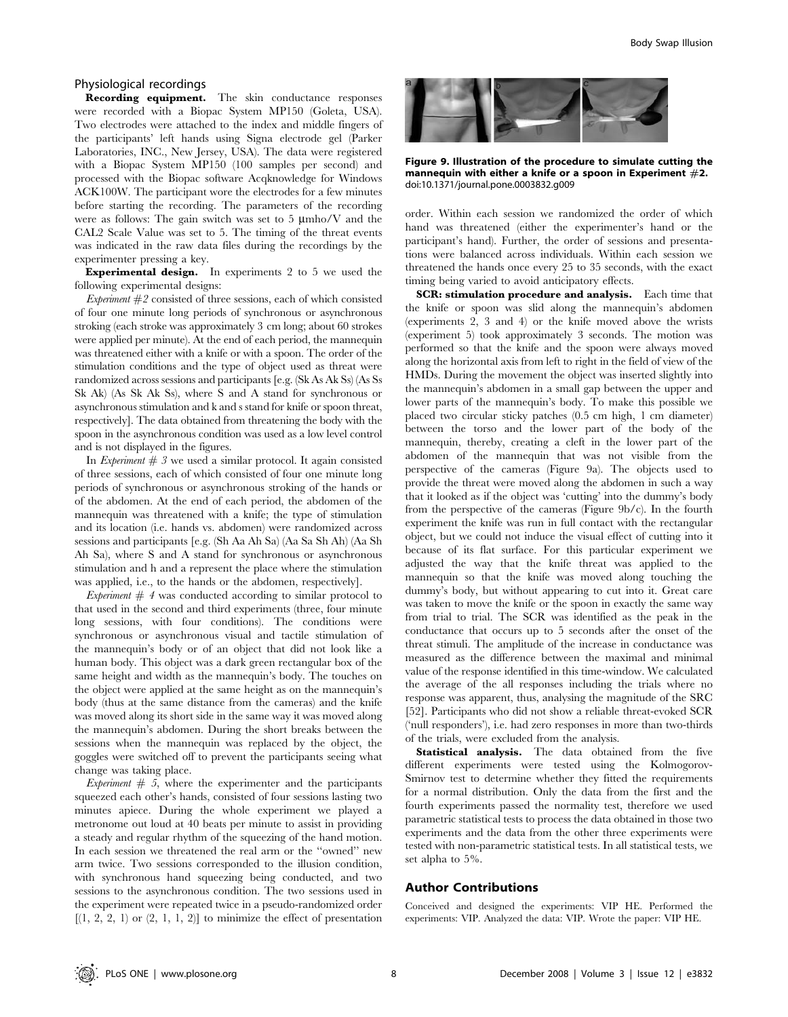#### Physiological recordings

Recording equipment. The skin conductance responses were recorded with a Biopac System MP150 (Goleta, USA). Two electrodes were attached to the index and middle fingers of the participants' left hands using Signa electrode gel (Parker Laboratories, INC., New Jersey, USA). The data were registered with a Biopac System MP150 (100 samples per second) and processed with the Biopac software Acqknowledge for Windows ACK100W. The participant wore the electrodes for a few minutes before starting the recording. The parameters of the recording were as follows: The gain switch was set to  $5 \mu m \hbox{h}$  /V and the CAL2 Scale Value was set to 5. The timing of the threat events was indicated in the raw data files during the recordings by the experimenter pressing a key.

Experimental design. In experiments 2 to 5 we used the following experimental designs:

Experiment  $#2$  consisted of three sessions, each of which consisted of four one minute long periods of synchronous or asynchronous stroking (each stroke was approximately 3 cm long; about 60 strokes were applied per minute). At the end of each period, the mannequin was threatened either with a knife or with a spoon. The order of the stimulation conditions and the type of object used as threat were randomized across sessions and participants [e.g. (Sk As Ak Ss) (As Ss Sk Ak) (As Sk Ak Ss), where S and A stand for synchronous or asynchronous stimulation and k and s stand for knife or spoon threat, respectively]. The data obtained from threatening the body with the spoon in the asynchronous condition was used as a low level control and is not displayed in the figures.

In Experiment  $# 3$  we used a similar protocol. It again consisted of three sessions, each of which consisted of four one minute long periods of synchronous or asynchronous stroking of the hands or of the abdomen. At the end of each period, the abdomen of the mannequin was threatened with a knife; the type of stimulation and its location (i.e. hands vs. abdomen) were randomized across sessions and participants [e.g. (Sh Aa Ah Sa) (Aa Sa Sh Ah) (Aa Sh Ah Sa), where S and A stand for synchronous or asynchronous stimulation and h and a represent the place where the stimulation was applied, i.e., to the hands or the abdomen, respectively].

*Experiment*  $# 4$  was conducted according to similar protocol to that used in the second and third experiments (three, four minute long sessions, with four conditions). The conditions were synchronous or asynchronous visual and tactile stimulation of the mannequin's body or of an object that did not look like a human body. This object was a dark green rectangular box of the same height and width as the mannequin's body. The touches on the object were applied at the same height as on the mannequin's body (thus at the same distance from the cameras) and the knife was moved along its short side in the same way it was moved along the mannequin's abdomen. During the short breaks between the sessions when the mannequin was replaced by the object, the goggles were switched off to prevent the participants seeing what change was taking place.

Experiment  $# 5$ , where the experimenter and the participants squeezed each other's hands, consisted of four sessions lasting two minutes apiece. During the whole experiment we played a metronome out loud at 40 beats per minute to assist in providing a steady and regular rhythm of the squeezing of the hand motion. In each session we threatened the real arm or the ''owned'' new arm twice. Two sessions corresponded to the illusion condition, with synchronous hand squeezing being conducted, and two sessions to the asynchronous condition. The two sessions used in the experiment were repeated twice in a pseudo-randomized order  $[(1, 2, 2, 1)$  or  $(2, 1, 1, 2)]$  to minimize the effect of presentation



Figure 9. Illustration of the procedure to simulate cutting the mannequin with either a knife or a spoon in Experiment  $#2$ . doi:10.1371/journal.pone.0003832.g009

order. Within each session we randomized the order of which hand was threatened (either the experimenter's hand or the participant's hand). Further, the order of sessions and presentations were balanced across individuals. Within each session we threatened the hands once every 25 to 35 seconds, with the exact timing being varied to avoid anticipatory effects.

SCR: stimulation procedure and analysis. Each time that the knife or spoon was slid along the mannequin's abdomen (experiments 2, 3 and 4) or the knife moved above the wrists (experiment 5) took approximately 3 seconds. The motion was performed so that the knife and the spoon were always moved along the horizontal axis from left to right in the field of view of the HMDs. During the movement the object was inserted slightly into the mannequin's abdomen in a small gap between the upper and lower parts of the mannequin's body. To make this possible we placed two circular sticky patches (0.5 cm high, 1 cm diameter) between the torso and the lower part of the body of the mannequin, thereby, creating a cleft in the lower part of the abdomen of the mannequin that was not visible from the perspective of the cameras (Figure 9a). The objects used to provide the threat were moved along the abdomen in such a way that it looked as if the object was 'cutting' into the dummy's body from the perspective of the cameras (Figure 9b/c). In the fourth experiment the knife was run in full contact with the rectangular object, but we could not induce the visual effect of cutting into it because of its flat surface. For this particular experiment we adjusted the way that the knife threat was applied to the mannequin so that the knife was moved along touching the dummy's body, but without appearing to cut into it. Great care was taken to move the knife or the spoon in exactly the same way from trial to trial. The SCR was identified as the peak in the conductance that occurs up to 5 seconds after the onset of the threat stimuli. The amplitude of the increase in conductance was measured as the difference between the maximal and minimal value of the response identified in this time-window. We calculated the average of the all responses including the trials where no response was apparent, thus, analysing the magnitude of the SRC [52]. Participants who did not show a reliable threat-evoked SCR ('null responders'), i.e. had zero responses in more than two-thirds of the trials, were excluded from the analysis.

Statistical analysis. The data obtained from the five different experiments were tested using the Kolmogorov-Smirnov test to determine whether they fitted the requirements for a normal distribution. Only the data from the first and the fourth experiments passed the normality test, therefore we used parametric statistical tests to process the data obtained in those two experiments and the data from the other three experiments were tested with non-parametric statistical tests. In all statistical tests, we set alpha to 5%.

### Author Contributions

Conceived and designed the experiments: VIP HE. Performed the experiments: VIP. Analyzed the data: VIP. Wrote the paper: VIP HE.